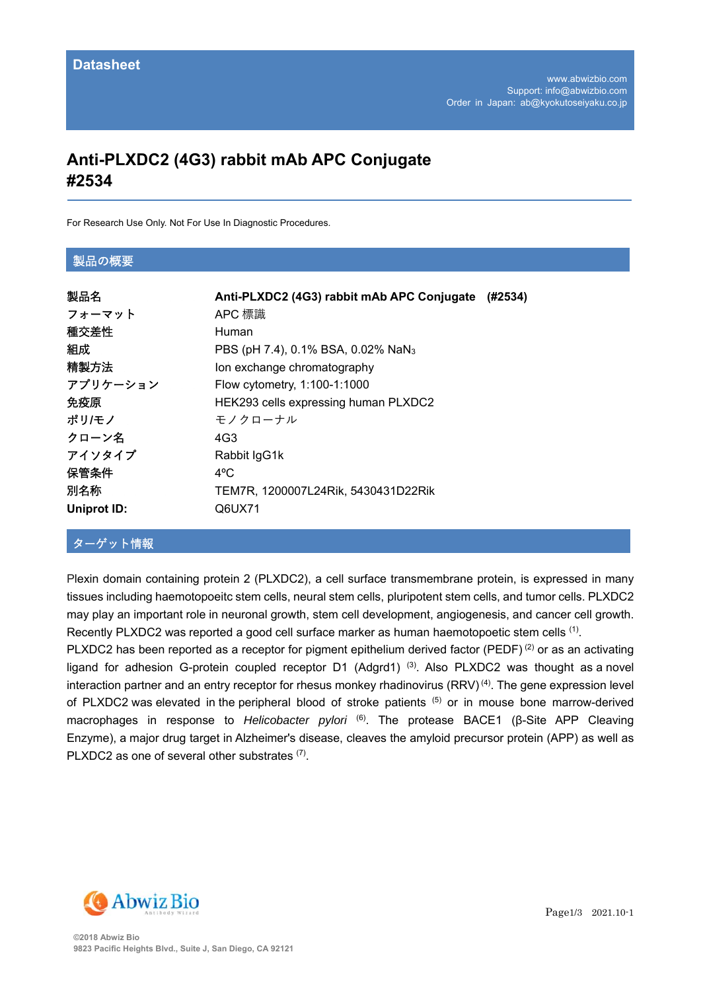# **Anti-PLXDC2 (4G3) rabbit mAb APC Conjugate #2534**

For Research Use Only. Not For Use In Diagnostic Procedures.

#### 製品の概要

| 製品名                | Anti-PLXDC2 (4G3) rabbit mAb APC Conjugate<br>(#2534) |
|--------------------|-------------------------------------------------------|
| フォーマット             | APC 標識                                                |
| 種交差性               | Human                                                 |
| 組成                 | PBS (pH 7.4), 0.1% BSA, 0.02% NaN <sub>3</sub>        |
| 精製方法               | Ion exchange chromatography                           |
| アプリケーション           | Flow cytometry, 1:100-1:1000                          |
| 免疫原                | HEK293 cells expressing human PLXDC2                  |
| ポリ/モノ              | モノクローナル                                               |
| クローン名              | 4G3                                                   |
| アイソタイプ             | Rabbit IgG1k                                          |
| 保管条件               | $4^{\circ}$ C                                         |
| 別名称                | TEM7R, 1200007L24Rik, 5430431D22Rik                   |
| <b>Uniprot ID:</b> | Q6UX71                                                |

## ターゲット情報

Plexin domain containing protein 2 (PLXDC2), a cell surface transmembrane protein, is expressed in many tissues including haemotopoeitc stem cells, neural stem cells, pluripotent stem cells, and tumor cells. PLXDC2 may play an important role in neuronal growth, stem cell development, angiogenesis, and cancer cell growth. Recently PLXDC2 was reported a good cell surface marker as human haemotopoetic stem cells <sup>(1)</sup>.

PLXDC2 has been reported as a receptor for pigment epithelium derived factor (PEDF)<sup>(2)</sup> or as an activating ligand for adhesion G-protein coupled receptor D1 (Adgrd1)<sup>(3)</sup>. Also PLXDC2 was thought as a novel interaction partner and an entry receptor for rhesus monkey rhadinovirus (RRV)<sup>(4)</sup>. The gene expression level of PLXDC2 was elevated in the peripheral blood of stroke patients (5) or in mouse bone marrow-derived macrophages in response to *Helicobacter pylori* (6). The protease BACE1 (β-Site APP Cleaving Enzyme), a major drug target in Alzheimer's disease, cleaves the amyloid precursor protein (APP) as well as PLXDC2 as one of several other substrates (7).

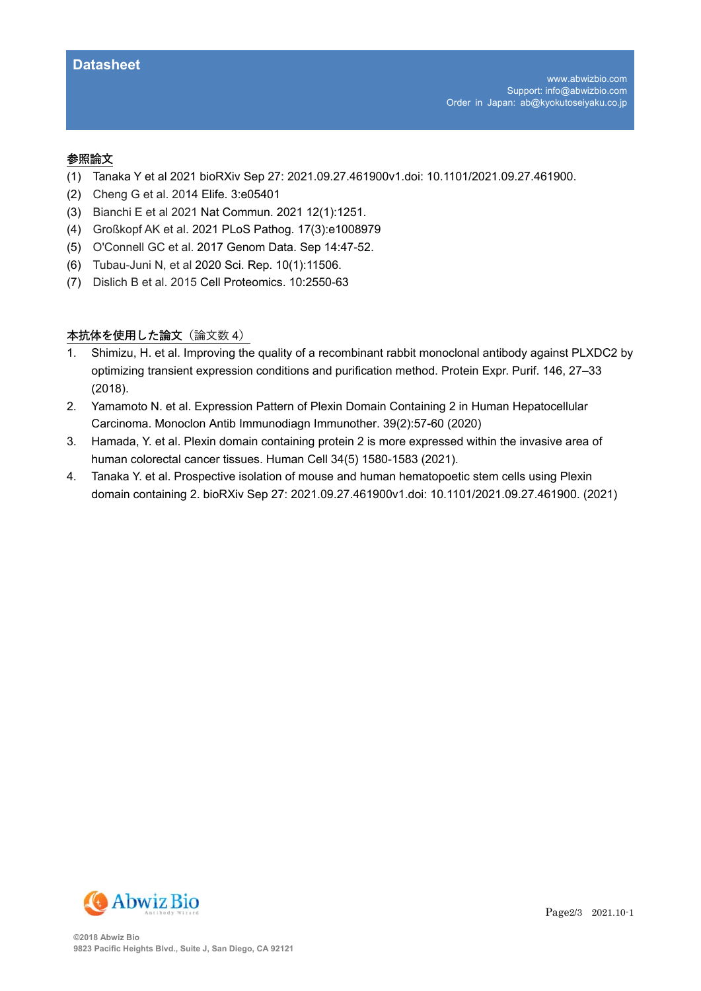#### 参照論⽂

- (1) Tanaka Y et al 2021 bioRXiv Sep 27: 2021.09.27.461900v1.doi: 10.1101/2021.09.27.461900.
- (2) Cheng G et al. 2014 Elife. 3:e05401
- (3) Bianchi E et al 2021 Nat Commun. 2021 12(1):1251.
- (4) Großkopf AK et al. 2021 PLoS Pathog. 17(3):e1008979
- (5) O'Connell GC et al. 2017 Genom Data. Sep 14:47-52.
- (6) Tubau-Juni N, et al 2020 Sci. Rep. 10(1):11506.
- (7) Dislich B et al. 2015 Cell Proteomics. 10:2550-63

## 本抗体を使用した論文 (論文数 4)

- 1. Shimizu, H. et al. Improving the quality of a recombinant rabbit monoclonal antibody against PLXDC2 by optimizing transient expression conditions and purification method. Protein Expr. Purif. 146, 27–33 (2018).
- 2. Yamamoto N. et al. Expression Pattern of Plexin Domain Containing 2 in Human Hepatocellular Carcinoma. Monoclon Antib Immunodiagn Immunother. 39(2):57-60 (2020)
- 3. Hamada, Y. et al. Plexin domain containing protein 2 is more expressed within the invasive area of human colorectal cancer tissues. Human Cell 34(5) 1580-1583 (2021).
- 4. Tanaka Y. et al. Prospective isolation of mouse and human hematopoetic stem cells using Plexin domain containing 2. bioRXiv Sep 27: 2021.09.27.461900v1.doi: 10.1101/2021.09.27.461900. (2021)